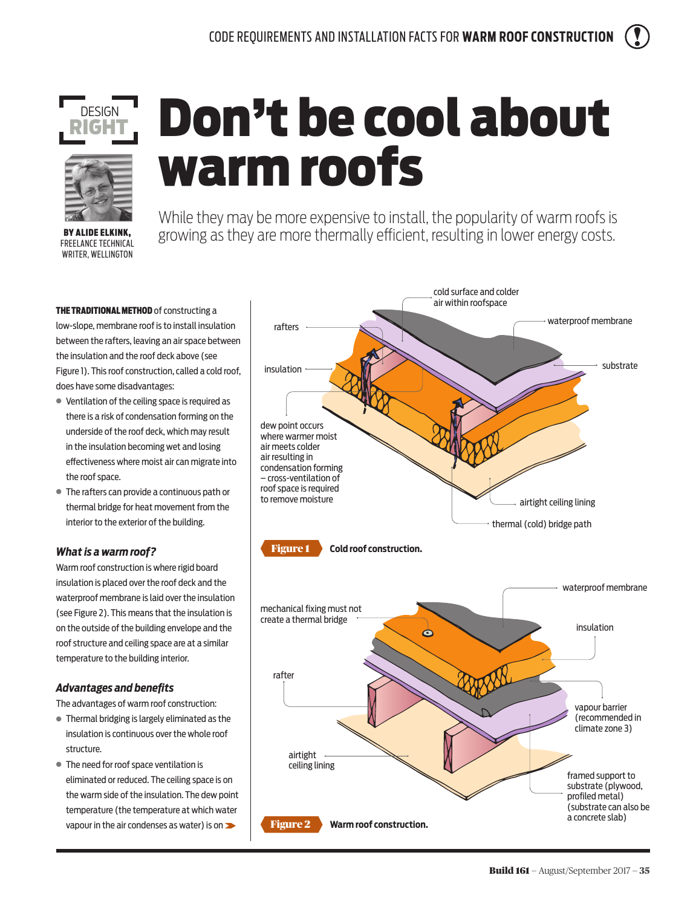



**BY ALIDE ELKINK** FREELANCE TECHNICAL WRITER, WELLINGTON

# Don't be cool about warm roofs

While they may be more expensive to install, the popularity of warm roofs is growing as they are more thermally efficient, resulting in lower energy costs.

THE TRADITIONAL METHOD of constructing a low-slope, membrane roof is to install insulation between the rafters, leaving an air space between the insulation and the roof deck above (see Figure 1). This roof construction, called a cold roof, does have some disadvantages:

- **●** Ventilation of the ceiling space is required as there is a risk of condensation forming on the underside of the roof deck, which may result in the insulation becoming wet and losing effectiveness where moist air can migrate into the roof space.
- **●** The rafters can provide a continuous path or thermal bridge for heat movement from the interior to the exterior of the building.

# *What is a warm roof?*

Warm roof construction is where rigid board insulation is placed over the roof deck and the waterproof membrane is laid over the insulation (see Figure 2). This means that the insulation is on the outside of the building envelope and the roof structure and ceiling space are at a similar temperature to the building interior.

# *Advantages and benefits*

The advantages of warm roof construction:

- **●** Thermal bridging is largely eliminated as the insulation is continuous over the whole roof structure.
- **●** The need for roof space ventilation is eliminated or reduced. The ceiling space is on the warm side of the insulation. The dew point temperature (the temperature at which water vapour in the air condenses as water) is on